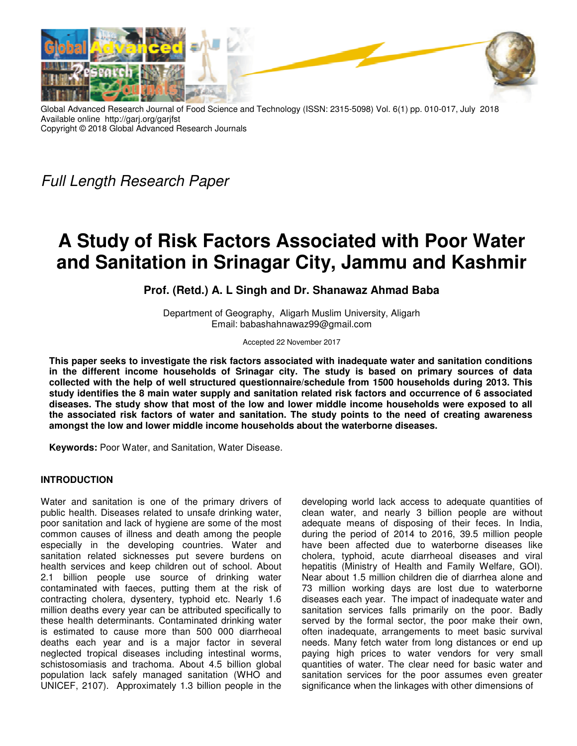

Global Advanced Research Journal of Food Science and Technology (ISSN: 2315-5098) Vol. 6(1) pp. 010-017, July 2018 Available online http://garj.org/garjfst Copyright © 2018 Global Advanced Research Journals

Full Length Research Paper

# **A Study of Risk Factors Associated with Poor Water and Sanitation in Srinagar City, Jammu and Kashmir**

# **Prof. (Retd.) A. L Singh and Dr. Shanawaz Ahmad Baba**

Department of Geography, Aligarh Muslim University, Aligarh Email: babashahnawaz99@gmail.com

Accepted 22 November 2017

**This paper seeks to investigate the risk factors associated with inadequate water and sanitation conditions in the different income households of Srinagar city. The study is based on primary sources of data collected with the help of well structured questionnaire/schedule from 1500 households during 2013. This study identifies the 8 main water supply and sanitation related risk factors and occurrence of 6 associated diseases. The study show that most of the low and lower middle income households were exposed to all the associated risk factors of water and sanitation. The study points to the need of creating awareness amongst the low and lower middle income households about the waterborne diseases.** 

**Keywords:** Poor Water, and Sanitation, Water Disease.

# **INTRODUCTION**

Water and sanitation is one of the primary drivers of public health. Diseases related to unsafe drinking water, poor sanitation and lack of hygiene are some of the most common causes of illness and death among the people especially in the developing countries. Water and sanitation related sicknesses put severe burdens on health services and keep children out of school. About 2.1 billion people use source of drinking water contaminated with faeces, putting them at the risk of contracting cholera, dysentery, typhoid etc. Nearly 1.6 million deaths every year can be attributed specifically to these health determinants. Contaminated drinking water is estimated to cause more than 500 000 diarrheoal deaths each year and is a major factor in several neglected tropical diseases including intestinal worms, schistosomiasis and trachoma. About 4.5 billion global population lack safely managed sanitation (WHO and UNICEF, 2107). Approximately 1.3 billion people in the

developing world lack access to adequate quantities of clean water, and nearly 3 billion people are without adequate means of disposing of their feces. In India, during the period of 2014 to 2016, 39.5 million people have been affected due to waterborne diseases like cholera, typhoid, acute diarrheoal diseases and viral hepatitis (Ministry of Health and Family Welfare, GOI). Near about 1.5 million children die of diarrhea alone and 73 million working days are lost due to waterborne diseases each year. The impact of inadequate water and sanitation services falls primarily on the poor. Badly served by the formal sector, the poor make their own, often inadequate, arrangements to meet basic survival needs. Many fetch water from long distances or end up paying high prices to water vendors for very small quantities of water. The clear need for basic water and sanitation services for the poor assumes even greater significance when the linkages with other dimensions of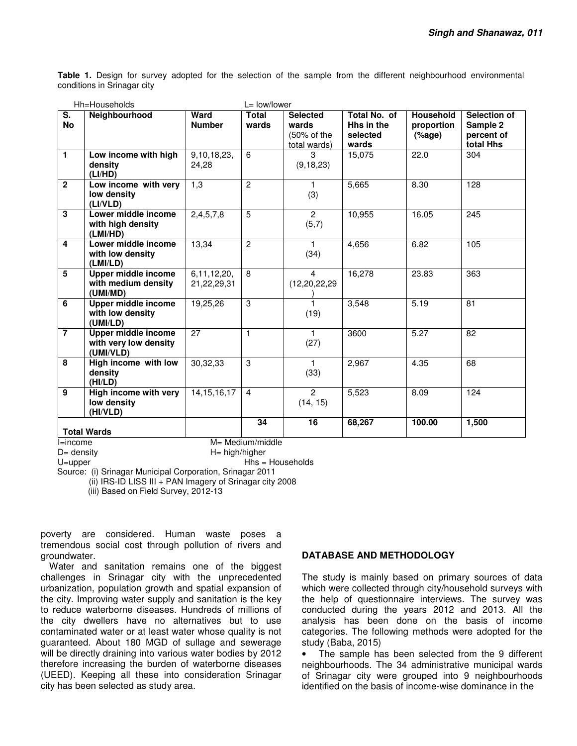**Table 1.** Design for survey adopted for the selection of the sample from the different neighbourhood environmental conditions in Srinagar city

| $\overline{\mathsf{s}}$ .<br><b>No</b> | Neighbourhood                                                    | Ward<br><b>Number</b>      | <b>Total</b><br>wards     | <b>Selected</b><br>wards<br>(50% of the<br>total wards) | Total No. of<br>Hhs in the<br>selected<br>wards | Household<br>proportion<br>(% | Selection of<br>Sample 2<br>percent of<br>total Hhs |
|----------------------------------------|------------------------------------------------------------------|----------------------------|---------------------------|---------------------------------------------------------|-------------------------------------------------|-------------------------------|-----------------------------------------------------|
| $\mathbf{1}$                           | Low income with high<br>density<br>(LI/HD)                       | 9,10,18,23,<br>24.28       | 6                         | 3<br>(9, 18, 23)                                        | 15,075                                          | 22.0                          | 304                                                 |
| $\overline{2}$                         | Low income with very<br>low density<br>(LI/VLD)                  | 1,3                        | $\overline{c}$            | 1.<br>(3)                                               | 5,665                                           | 8.30                          | 128                                                 |
| 3                                      | Lower middle income<br>with high density<br>(LMI/HD)             | 2,4,5,7,8                  | $\overline{5}$            | $\overline{2}$<br>(5,7)                                 | 10,955                                          | 16.05                         | 245                                                 |
| 4                                      | Lower middle income<br>with low density<br>(LMI/LD)              | 13,34                      | $\overline{2}$            | $\mathbf{1}$<br>(34)                                    | 4,656                                           | 6.82                          | 105                                                 |
| 5                                      | <b>Upper middle income</b><br>with medium density<br>(UMI/MD)    | 6,11,12,20,<br>21,22,29,31 | 8                         | $\overline{4}$<br>(12, 20, 22, 29)                      | 16,278                                          | 23.83                         | 363                                                 |
| 6                                      | Upper middle income<br>with low density<br>(UMI/LD)              | 19,25,26                   | 3                         | 1.<br>(19)                                              | 3,548                                           | 5.19                          | 81                                                  |
| $\overline{7}$                         | <b>Upper middle income</b><br>with very low density<br>(UMI/VLD) | 27                         | $\mathbf{1}$              | $\blacksquare$<br>(27)                                  | 3600                                            | 5.27                          | 82                                                  |
| 8                                      | High income with low<br>density<br>(HI/LD)                       | 30,32,33                   | 3                         | 1.<br>(33)                                              | 2,967                                           | 4.35                          | 68                                                  |
| 9                                      | High income with very<br>low density<br>(HI/VLD)                 | 14, 15, 16, 17             | $\overline{4}$            | $\overline{2}$<br>(14, 15)                              | 5,523                                           | 8.09                          | 124                                                 |
|                                        | <b>Total Wards</b>                                               |                            | 34<br>$M = Medium/middle$ | 16                                                      | 68,267                                          | 100.00                        | 1,500                                               |

D= density H= high/higher

U=upper Hhs = Households

Source: (i) Srinagar Municipal Corporation, Srinagar 2011

(ii) IRS-ID LISS III + PAN Imagery of Srinagar city 2008

(iii) Based on Field Survey, 2012-13

poverty are considered. Human waste poses a tremendous social cost through pollution of rivers and groundwater.

Water and sanitation remains one of the biggest challenges in Srinagar city with the unprecedented urbanization, population growth and spatial expansion of the city. Improving water supply and sanitation is the key to reduce waterborne diseases. Hundreds of millions of the city dwellers have no alternatives but to use contaminated water or at least water whose quality is not guaranteed. About 180 MGD of sullage and sewerage will be directly draining into various water bodies by 2012 therefore increasing the burden of waterborne diseases (UEED). Keeping all these into consideration Srinagar city has been selected as study area.

# **DATABASE AND METHODOLOGY**

The study is mainly based on primary sources of data which were collected through city/household surveys with the help of questionnaire interviews. The survey was conducted during the years 2012 and 2013. All the analysis has been done on the basis of income categories. The following methods were adopted for the study (Baba, 2015)

• The sample has been selected from the 9 different neighbourhoods. The 34 administrative municipal wards of Srinagar city were grouped into 9 neighbourhoods identified on the basis of income-wise dominance in the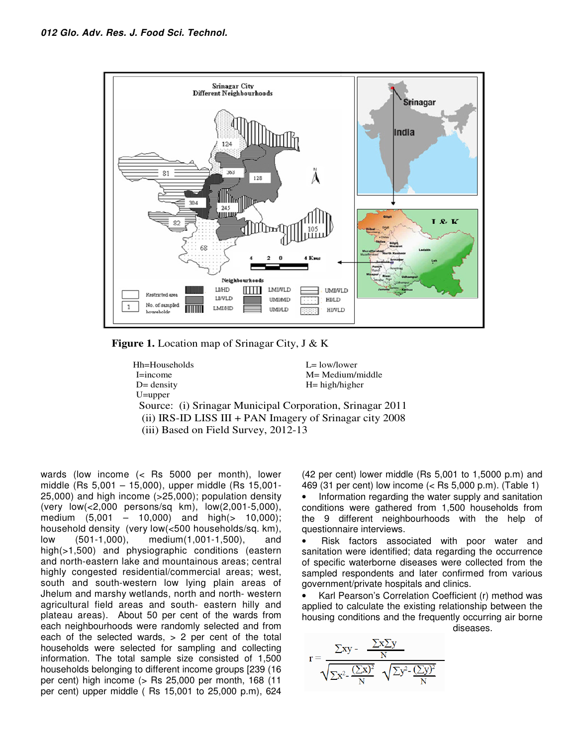

 **Figure 1.** Location map of Srinagar City, J & K

**Hh=Households** L= low/lower I=income M= Medium/middle D= density H= high/higher U=upper Source: (i) Srinagar Municipal Corporation, Srinagar 2011 (ii) IRS-ID LISS III + PAN Imagery of Srinagar city 2008 (iii) Based on Field Survey, 2012-13

wards (low income (< Rs 5000 per month), lower middle (Rs 5,001 – 15,000), upper middle (Rs 15,001- 25,000) and high income (>25,000); population density (very low(<2,000 persons/sq km), low(2,001-5,000), medium (5,001 – 10,000) and high(> 10,000); household density (very low(<500 households/sq. km), low (501-1,000), medium(1,001-1,500), and high(>1,500) and physiographic conditions (eastern and north-eastern lake and mountainous areas; central highly congested residential/commercial areas; west, south and south-western low lying plain areas of Jhelum and marshy wetlands, north and north- western agricultural field areas and south- eastern hilly and plateau areas). About 50 per cent of the wards from each neighbourhoods were randomly selected and from each of the selected wards,  $> 2$  per cent of the total households were selected for sampling and collecting information. The total sample size consisted of 1,500 households belonging to different income groups [239 (16 per cent) high income (> Rs 25,000 per month, 168 (11 per cent) upper middle ( Rs 15,001 to 25,000 p.m), 624 (42 per cent) lower middle (Rs 5,001 to 1,5000 p.m) and 469 (31 per cent) low income (< Rs 5,000 p.m). (Table 1)

• Information regarding the water supply and sanitation conditions were gathered from 1,500 households from the 9 different neighbourhoods with the help of questionnaire interviews.

• Risk factors associated with poor water and sanitation were identified; data regarding the occurrence of specific waterborne diseases were collected from the sampled respondents and later confirmed from various government/private hospitals and clinics.

Karl Pearson's Correlation Coefficient (r) method was applied to calculate the existing relationship between the housing conditions and the frequently occurring air borne diseases.

$$
r = \frac{\sum xy - \frac{\sum x \sum y}{N}}{\sqrt{\sum x^2 - \frac{(\sum x)^2}{N}} \sqrt{\sum y^2 - \frac{(\sum y)^2}{N}}}
$$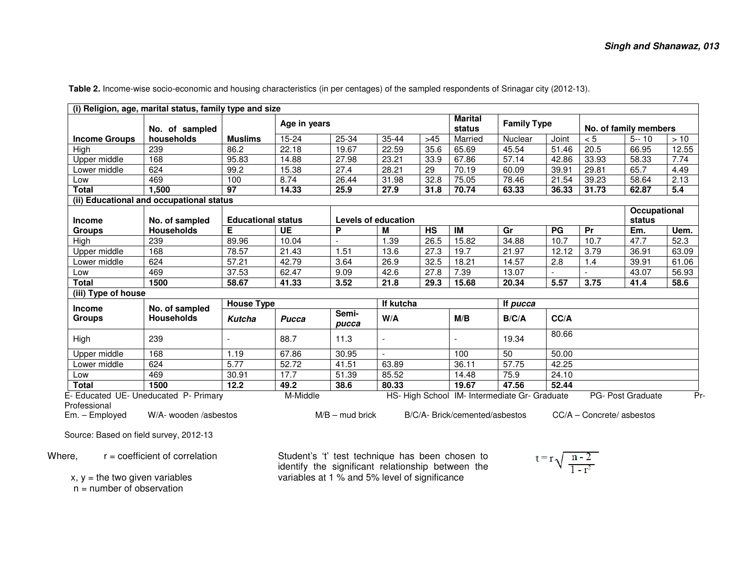|                      | No. of sampled                           |                                            | Age in years        |                   |       | <b>Marital</b><br>status | <b>Family Type</b>             |                                               | No. of family members |       |                             |       |
|----------------------|------------------------------------------|--------------------------------------------|---------------------|-------------------|-------|--------------------------|--------------------------------|-----------------------------------------------|-----------------------|-------|-----------------------------|-------|
| <b>Income Groups</b> | households                               | <b>Muslims</b>                             | 15-24               | 25-34             | 35-44 | >45                      | Married                        | <b>Nuclear</b>                                | Joint                 | < 5   | $5 - 10$                    | >10   |
| High                 | 239                                      | 86.2                                       | 22.18               | 19.67             | 22.59 | 35.6                     | 65.69                          | 45.54                                         | 51.46                 | 20.5  | 66.95                       | 12.55 |
| <b>Upper middle</b>  | 168                                      | 95.83                                      | 14.88               | 27.98             | 23.21 | 33.9                     | 67.86                          | 57.14                                         | 42.86                 | 33.93 | 58.33                       | 7.74  |
| Lower middle         | 624                                      | 99.2                                       | 15.38               | 27.4              | 28.21 | 29                       | 70.19                          | 60.09                                         | 39.91                 | 29.81 | 65.7                        | 4.49  |
| Low                  | 469                                      | 100                                        | 8.74                | 26.44             | 31.98 | 32.8                     | 75.05                          | 78.46                                         | 21.54                 | 39.23 | 58.64                       | 2.13  |
| <b>Total</b>         | 1,500                                    | 97                                         | 14.33               | 25.9              | 27.9  | 31.8                     | 70.74                          | 63.33                                         | 36.33                 | 31.73 | 62.87                       | 5.4   |
|                      | (ii) Educational and occupational status |                                            |                     |                   |       |                          |                                |                                               |                       |       |                             |       |
| <b>Income</b>        | No. of sampled                           | <b>Educational status</b>                  | Levels of education |                   |       |                          |                                |                                               |                       |       | Occupational<br>status      |       |
| <b>Groups</b>        | <b>Households</b>                        | Е                                          | UE                  | P                 | м     | <b>HS</b>                | $\overline{M}$                 | Gr                                            | PG                    | Pr    | Em.                         | Uem.  |
| High                 | 239                                      | 89.96                                      | 10.04               |                   | 1.39  | 26.5                     | 15.82                          | 34.88                                         | 10.7                  | 10.7  | 47.7                        | 52.3  |
| Upper middle         | 168                                      | 78.57                                      | 21.43               | 1.51              | 13.6  | 27.3                     | 19.7                           | 21.97                                         | 12.12                 | 3.79  | 36.91                       | 63.09 |
| Lower middle         | 624                                      | 57.21                                      | 42.79               | 3.64              | 26.9  | 32.5                     | 18.21                          | 14.57                                         | 2.8                   | 1.4   | 39.91                       | 61.06 |
| Low                  | 469                                      | 37.53                                      | 62.47               | 9.09              | 42.6  | 27.8                     | 7.39                           | 13.07                                         |                       |       | 43.07                       | 56.93 |
| <b>Total</b>         | 1500                                     | 58.67                                      | 41.33               | 3.52              | 21.8  | 29.3                     | 15.68                          | 20.34                                         | 5.57                  | 3.75  | 41.4                        | 58.6  |
| (iii) Type of house  |                                          |                                            |                     |                   |       |                          |                                |                                               |                       |       |                             |       |
| <b>Income</b>        | No. of sampled                           | <b>House Type</b><br>If kutcha<br>If pucca |                     |                   |       |                          |                                |                                               |                       |       |                             |       |
| <b>Groups</b>        | <b>Households</b>                        | <b>Kutcha</b>                              | <b>Pucca</b>        | Semi-<br>pucca    | W/A   |                          | M/B                            | B/C/A                                         | CC/A                  |       |                             |       |
| High                 | 239                                      |                                            | 88.7                | 11.3              |       |                          |                                | 19.34                                         | 80.66                 |       |                             |       |
| Upper middle         | 168                                      | 1.19                                       | 67.86               | 30.95             |       |                          | 100                            | 50                                            | 50.00                 |       |                             |       |
| Lower middle         | 624                                      | $\overline{5.77}$                          | 52.72               | 41.51             | 63.89 |                          | 36.11                          | 57.75                                         | 42.25                 |       |                             |       |
| Low                  | 469                                      | 30.91                                      | 17.7                | 51.39             | 85.52 |                          | 14.48                          | 75.9<br>24.10                                 |                       |       |                             |       |
| <b>Total</b>         | 1500                                     | 12.2                                       | 49.2                | 38.6              | 80.33 |                          | 19.67                          | 47.56                                         | 52.44                 |       |                             |       |
| Professional         | E- Educated UE- Uneducated P- Primary    |                                            | M-Middle            |                   |       |                          |                                | HS- High School IM- Intermediate Gr- Graduate |                       |       | PG- Post Graduate           |       |
| Em. - Employed       | W/A- wooden /asbestos                    |                                            |                     | $M/B$ – mud brick |       |                          | B/C/A- Brick/cemented/asbestos |                                               |                       |       | $CC/A -$ Concrete/ asbestos |       |

**Table 2.** Income-wise socio-economic and housing characteristics (in per centages) of the sampled respondents of Srinagar city (2012-13).

Source: Based on field survey, 2012-13

Where,  $r =$  coefficient of correlation

 $x, y =$  the two given variables

n = number of observation

Student's 't' test technique has been chosen to identify the significant relationship between the variables at 1 % and 5% level of significance

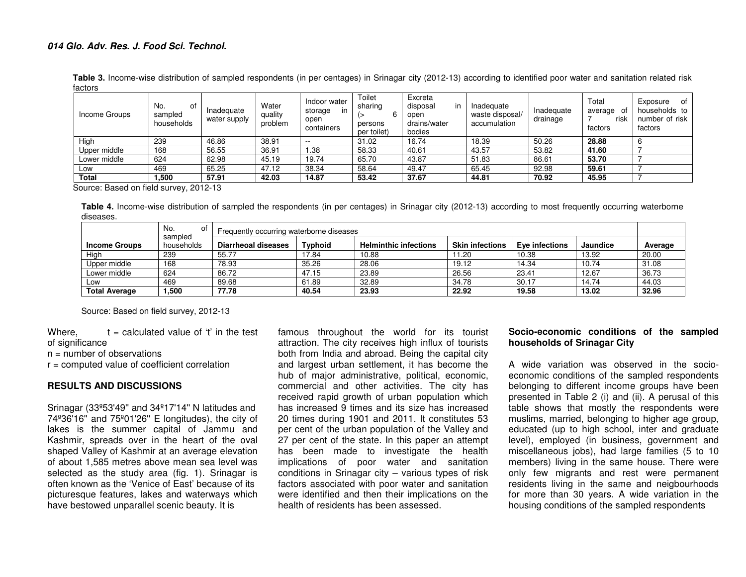**Table 3.** Income-wise distribution of sampled respondents (in per centages) in Srinagar city (2012-13) according to identified poor water and sanitation related risk factors

| Income Groups | No.<br>ot<br>sampled<br>households | Inadeguate<br>water supply | Water<br>quality<br>problem | Indoor water<br>storage<br>in<br>open<br>containers | Toilet<br>sharing<br>persons<br>per toilet) | Excreta<br>in<br>disposal<br>open<br>drains/water<br>bodies | Inadequate<br>waste disposal/<br>accumulation | Inadequate<br>drainage | Total<br>average<br>ot<br>risk<br>factors | of<br>Exposure<br>households to<br>number of risk<br>factors |
|---------------|------------------------------------|----------------------------|-----------------------------|-----------------------------------------------------|---------------------------------------------|-------------------------------------------------------------|-----------------------------------------------|------------------------|-------------------------------------------|--------------------------------------------------------------|
| High          | 239                                | 46.86                      | 38.91                       | $- -$                                               | 31.02                                       | 16.74                                                       | 18.39                                         | 50.26                  | 28.88                                     |                                                              |
| Upper middle  | 168                                | 56.55                      | 36.91                       | .38                                                 | 58.33                                       | 40.61                                                       | 43.57                                         | 53.82                  | 41.60                                     |                                                              |
| Lower middle  | 624                                | 62.98                      | 45.19                       | 19.74                                               | 65.70                                       | 43.87                                                       | 51.83                                         | 86.61                  | 53.70                                     |                                                              |
| Low           | 469                                | 65.25                      | 47.12                       | 38.34                                               | 58.64                                       | 49.47                                                       | 65.45                                         | 92.98                  | 59.61                                     |                                                              |
| Total         | . 500                              | 57.91                      | 42.03                       | 14.87                                               | 53.42                                       | 37.67                                                       | 44.81                                         | 70.92                  | 45.95                                     |                                                              |

Source: Based on field survey, 2012-13

**Table 4.** Income-wise distribution of sampled the respondents (in per centages) in Srinagar city (2012-13) according to most frequently occurring waterborne diseases.

|                      | No.<br>οt             | Frequently occurring waterborne diseases |                |                              |                        |                |          |         |  |
|----------------------|-----------------------|------------------------------------------|----------------|------------------------------|------------------------|----------------|----------|---------|--|
| <b>Income Groups</b> | sampled<br>households | Diarrheoal diseases                      | <b>Typhoid</b> | <b>Helminthic infections</b> | <b>Skin infections</b> | Eve infections | Jaundice | Average |  |
| High                 | 239                   | 55.77                                    | 17.84          | 10.88                        | 11.20                  | 10.38          | 13.92    | 20.00   |  |
| Upper middle         | 168                   | 78.93                                    | 35.26          | 28.06                        | 19.12                  | 14.34          | 10.74    | 31.08   |  |
| Lower middle         | 624                   | 86.72                                    | 47.15          | 23.89                        | 26.56                  | 23.41          | 12.67    | 36.73   |  |
| Low                  | 469                   | 89.68                                    | 61.89          | 32.89                        | 34.78                  | 30.17          | 14.74    | 44.03   |  |
| <b>Total Average</b> | 1,500                 | 77.78                                    | 40.54          | 23.93                        | 22.92                  | 19.58          | 13.02    | 32.96   |  |

Source: Based on field survey, 2012-13

Where,  $t =$  calculated value of 't' in the test of significance

n = number of observations

r = computed value of coefficient correlation

#### **RESULTS AND DISCUSSIONS**

Srinagar (33º53'49'' and 34º17'14'' N latitudes and 74º36'16'' and 75º01'26'' E longitudes), the city of lakes is the summer capital of Jammu and Kashmir, spreads over in the heart of the oval shaped Valley of Kashmir at an average elevation of about 1,585 metres above mean sea level was selected as the study area (fig. 1). Srinagar is often known as the 'Venice of East' because of its picturesque features, lakes and waterways which have bestowed unparallel scenic beauty. It is

famous throughout the world for its tourist attraction. The city receives high influx of tourists both from India and abroad. Being the capital city and largest urban settlement, it has become the hub of major administrative, political, economic, commercial and other activities. The city has received rapid growth of urban population which has increased 9 times and its size has increased 20 times during 1901 and 2011. It constitutes 53 per cent of the urban population of the Valley and 27 per cent of the state. In this paper an attempt has been made to investigate the health implications of poor water and sanitation conditions in Srinagar city – various types of risk factors associated with poor water and sanitation were identified and then their implications on the health of residents has been assessed.

# **Socio-economic conditions of the sampled households of Srinagar City**

A wide variation was observed in the socioeconomic conditions of the sampled respondents belonging to different income groups have been presented in Table 2 (i) and (ii). A perusal of this table shows that mostly the respondents were muslims, married, belonging to higher age group, educated (up to high school, inter and graduate level), employed (in business, government and miscellaneous jobs), had large families (5 to 10 members) living in the same house. There were only few migrants and rest were permanent residents living in the same and neigbourhoods for more than 30 years. A wide variation in the housing conditions of the sampled respondents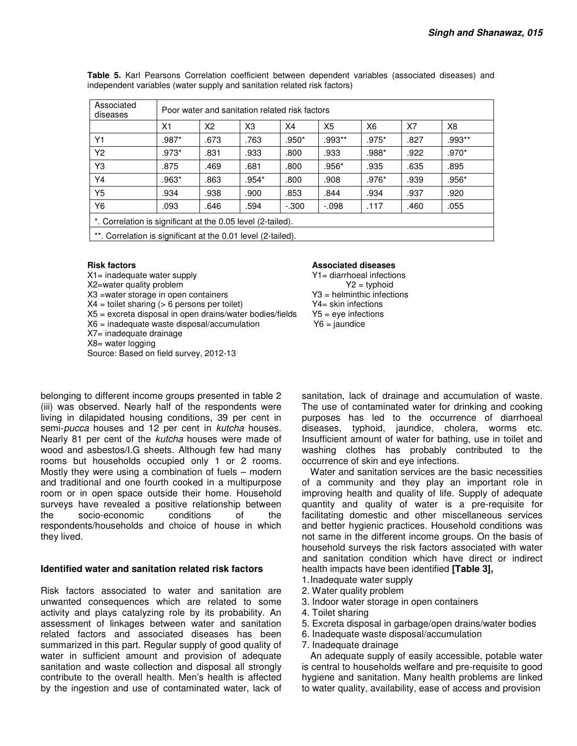| Associated<br>diseases                                       | Poor water and sanitation related risk factors |      |                |         |                |                |      |         |  |  |
|--------------------------------------------------------------|------------------------------------------------|------|----------------|---------|----------------|----------------|------|---------|--|--|
|                                                              | X <sub>1</sub>                                 | X2   | X <sub>3</sub> | X4      | X <sub>5</sub> | X <sub>6</sub> | X7   | X8      |  |  |
| Y <sub>1</sub>                                               | $.987*$                                        | .673 | .763           | .950*   | .993**         | .975*          | .827 | .993**  |  |  |
| Y <sub>2</sub>                                               | $.973*$                                        | .831 | .933           | .800    | .933           | .988*          | .922 | $.970*$ |  |  |
| Y3                                                           | .875                                           | .469 | .681           | .800    | .956*          | .935           | .635 | .895    |  |  |
| Y4                                                           | .963*                                          | .863 | $.954*$        | .800    | .908           | $.976*$        | .939 | .956*   |  |  |
| Y5                                                           | .934                                           | .938 | .900           | .853    | .844           | .934           | .937 | .920    |  |  |
| Y6                                                           | .093                                           | .646 | .594           | $-.300$ | $-.098$        | .117           | .460 | .055    |  |  |
| *. Correlation is significant at the 0.05 level (2-tailed).  |                                                |      |                |         |                |                |      |         |  |  |
| **. Correlation is significant at the 0.01 level (2-tailed). |                                                |      |                |         |                |                |      |         |  |  |

**Table 5.** Karl Pearsons Correlation coefficient between dependent variables (associated diseases) and independent variables (water supply and sanitation related risk factors)

X1= inadequate water supply  $X2$ = water quality problem  $X2$ = typhoid  $Y2$  = typhoid  $X2$ =water quality problem<br> $X3$  =water storage in open containers<br> $X3$  = helminthic infections  $X3$  =water storage in open containers  $X4$  = helminthic infections  $X4$  = toilet sharing (> 6 persons per toilet)  $Y4$  = skin infections  $X4 =$  toilet sharing ( $> 6$  persons per toilet)  $X5$  = excreta disposal in open drains/water bodies/fields  $Y5$  = eye infections X6 = inadequate waste disposal/accumulation Y6 = jaundice X7= inadequate drainage X8= water logging Source: Based on field survey, 2012-13

#### **Risk factors Associated diseases Associated diseases**

belonging to different income groups presented in table 2 (iii) was observed. Nearly half of the respondents were living in dilapidated housing conditions, 39 per cent in semi-pucca houses and 12 per cent in kutcha houses. Nearly 81 per cent of the kutcha houses were made of wood and asbestos/I.G sheets. Although few had many rooms but households occupied only 1 or 2 rooms. Mostly they were using a combination of fuels – modern and traditional and one fourth cooked in a multipurpose room or in open space outside their home. Household surveys have revealed a positive relationship between the socio-economic conditions of the respondents/households and choice of house in which they lived.

## **Identified water and sanitation related risk factors**

Risk factors associated to water and sanitation are unwanted consequences which are related to some activity and plays catalyzing role by its probability. An assessment of linkages between water and sanitation related factors and associated diseases has been summarized in this part. Regular supply of good quality of water in sufficient amount and provision of adequate sanitation and waste collection and disposal all strongly contribute to the overall health. Men's health is affected by the ingestion and use of contaminated water, lack of

sanitation, lack of drainage and accumulation of waste. The use of contaminated water for drinking and cooking purposes has led to the occurrence of diarrhoeal diseases, typhoid, jaundice, cholera, worms etc. Insufficient amount of water for bathing, use in toilet and washing clothes has probably contributed to the occurrence of skin and eye infections.

Water and sanitation services are the basic necessities of a community and they play an important role in improving health and quality of life. Supply of adequate quantity and quality of water is a pre-requisite for facilitating domestic and other miscellaneous services and better hygienic practices. Household conditions was not same in the different income groups. On the basis of household surveys the risk factors associated with water and sanitation condition which have direct or indirect health impacts have been identified **[Table 3],**

- 1. Inadequate water supply
- 2. Water quality problem
- 3. Indoor water storage in open containers
- 4. Toilet sharing
- 5. Excreta disposal in garbage/open drains/water bodies
- 6. Inadequate waste disposal/accumulation
- 7. Inadequate drainage

An adequate supply of easily accessible, potable water is central to households welfare and pre-requisite to good hygiene and sanitation. Many health problems are linked to water quality, availability, ease of access and provision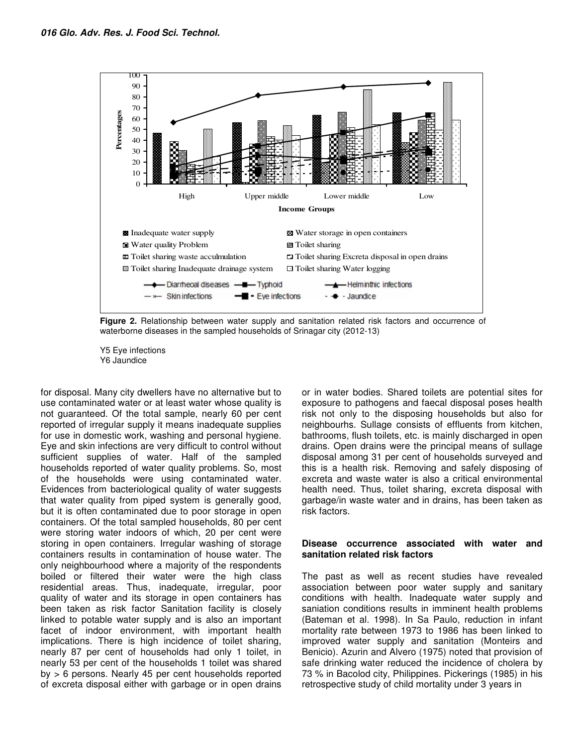

**Figure 2.** Relationship between water supply and sanitation related risk factors and occurrence of waterborne diseases in the sampled households of Srinagar city (2012-13)

Y5 Eye infections Y6 Jaundice

for disposal. Many city dwellers have no alternative but to use contaminated water or at least water whose quality is not guaranteed. Of the total sample, nearly 60 per cent reported of irregular supply it means inadequate supplies for use in domestic work, washing and personal hygiene. Eye and skin infections are very difficult to control without sufficient supplies of water. Half of the sampled households reported of water quality problems. So, most of the households were using contaminated water. Evidences from bacteriological quality of water suggests that water quality from piped system is generally good, but it is often contaminated due to poor storage in open containers. Of the total sampled households, 80 per cent were storing water indoors of which, 20 per cent were storing in open containers. Irregular washing of storage containers results in contamination of house water. The only neighbourhood where a majority of the respondents boiled or filtered their water were the high class residential areas. Thus, inadequate, irregular, poor quality of water and its storage in open containers has been taken as risk factor Sanitation facility is closely linked to potable water supply and is also an important facet of indoor environment, with important health implications. There is high incidence of toilet sharing, nearly 87 per cent of households had only 1 toilet, in nearly 53 per cent of the households 1 toilet was shared by > 6 persons. Nearly 45 per cent households reported of excreta disposal either with garbage or in open drains

or in water bodies. Shared toilets are potential sites for exposure to pathogens and faecal disposal poses health risk not only to the disposing households but also for neighbourhs. Sullage consists of effluents from kitchen, bathrooms, flush toilets, etc. is mainly discharged in open drains. Open drains were the principal means of sullage disposal among 31 per cent of households surveyed and this is a health risk. Removing and safely disposing of excreta and waste water is also a critical environmental health need. Thus, toilet sharing, excreta disposal with garbage/in waste water and in drains, has been taken as risk factors.

#### **Disease occurrence associated with water and sanitation related risk factors**

The past as well as recent studies have revealed association between poor water supply and sanitary conditions with health. Inadequate water supply and saniation conditions results in imminent health problems (Bateman et al. 1998). In Sa Paulo, reduction in infant mortality rate between 1973 to 1986 has been linked to improved water supply and sanitation (Monteirs and Benicio). Azurin and Alvero (1975) noted that provision of safe drinking water reduced the incidence of cholera by 73 % in Bacolod city, Philippines. Pickerings (1985) in his retrospective study of child mortality under 3 years in